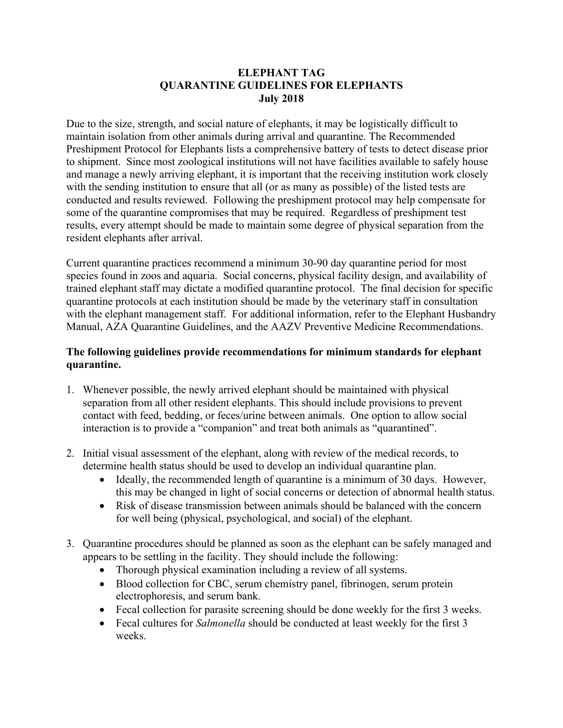## **ELEPHANT TAG QUARANTINE GUIDELINES FOR ELEPHANTS July 2018**

Due to the size, strength, and social nature of elephants, it may be logistically difficult to maintain isolation from other animals during arrival and quarantine. The Recommended Preshipment Protocol for Elephants lists a comprehensive battery of tests to detect disease prior to shipment. Since most zoological institutions will not have facilities available to safely house and manage a newly arriving elephant, it is important that the receiving institution work closely with the sending institution to ensure that all (or as many as possible) of the listed tests are conducted and results reviewed. Following the preshipment protocol may help compensate for some of the quarantine compromises that may be required. Regardless of preshipment test results, every attempt should be made to maintain some degree of physical separation from the resident elephants after arrival.

Current quarantine practices recommend a minimum 30-90 day quarantine period for most species found in zoos and aquaria. Social concerns, physical facility design, and availability of trained elephant staff may dictate a modified quarantine protocol. The final decision for specific quarantine protocols at each institution should be made by the veterinary staff in consultation with the elephant management staff. For additional information, refer to the Elephant Husbandry Manual, AZA Quarantine Guidelines, and the AAZV Preventive Medicine Recommendations.

## **The following guidelines provide recommendations for minimum standards for elephant quarantine.**

- 1. Whenever possible, the newly arrived elephant should be maintained with physical separation from all other resident elephants. This should include provisions to prevent contact with feed, bedding, or feces/urine between animals. One option to allow social interaction is to provide a "companion" and treat both animals as "quarantined".
- 2. Initial visual assessment of the elephant, along with review of the medical records, to determine health status should be used to develop an individual quarantine plan.
	- Ideally, the recommended length of quarantine is a minimum of 30 days. However, this may be changed in light of social concerns or detection of abnormal health status.
	- Risk of disease transmission between animals should be balanced with the concern for well being (physical, psychological, and social) of the elephant.
- 3. Quarantine procedures should be planned as soon as the elephant can be safely managed and appears to be settling in the facility. They should include the following:
	- Thorough physical examination including a review of all systems.
	- Blood collection for CBC, serum chemistry panel, fibrinogen, serum protein electrophoresis, and serum bank.
	- Fecal collection for parasite screening should be done weekly for the first 3 weeks.
	- Fecal cultures for *Salmonella* should be conducted at least weekly for the first 3 weeks.